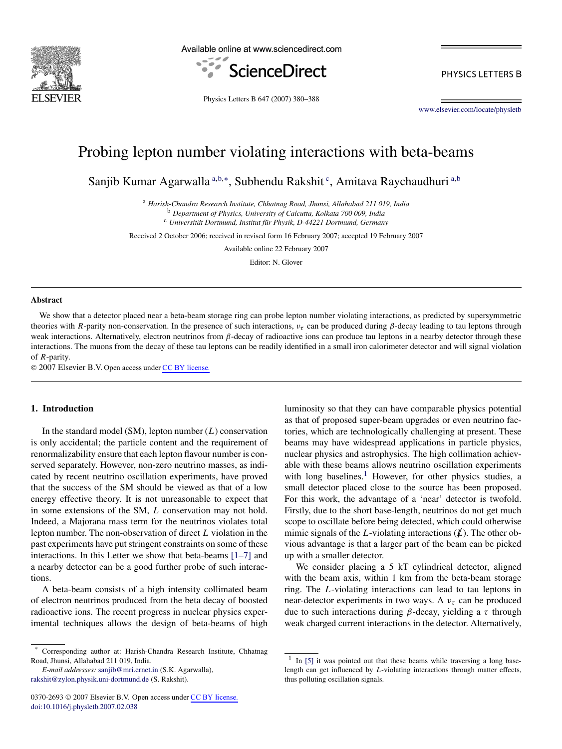

Available online at www.sciencedirect.com



PHYSICS LETTERS B

Physics Letters B 647 (2007) 380–388

[www.elsevier.com/locate/physletb](http://www.elsevier.com/locate/physletb)

# Probing lepton number violating interactions with beta-beams

Sanjib Kumar Agarwalla <sup>a,b,∗</sup>, Subhendu Rakshit <sup>c</sup>, Amitava Raychaudhuri <sup>a,b</sup>

<sup>a</sup> *Harish-Chandra Research Institute, Chhatnag Road, Jhunsi, Allahabad 211 019, India* <sup>b</sup> *Department of Physics, University of Calcutta, Kolkata 700 009, India*

<sup>c</sup> *Universität Dortmund, Institut für Physik, D-44221 Dortmund, Germany*

Received 2 October 2006; received in revised form 16 February 2007; accepted 19 February 2007

Available online 22 February 2007

Editor: N. Glover

#### **Abstract**

We show that a detector placed near a beta-beam storage ring can probe lepton number violating interactions, as predicted by supersymmetric theories with *R*-parity non-conservation. In the presence of such interactions,  $v<sub>\tau</sub>$  can be produced during *β*-decay leading to tau leptons through weak interactions. Alternatively, electron neutrinos from *β*-decay of radioactive ions can produce tau leptons in a nearby detector through these interactions. The muons from the decay of these tau leptons can be readily identified in a small iron calorimeter detector and will signal violation of *R*-parity.

© 2007 Elsevier B.V. Open access under [CC BY license.](http://creativecommons.org/licenses/by/3.0/)

## **1. Introduction**

In the standard model (SM), lepton number (*L*) conservation is only accidental; the particle content and the requirement of renormalizability ensure that each lepton flavour number is conserved separately. However, non-zero neutrino masses, as indicated by recent neutrino oscillation experiments, have proved that the success of the SM should be viewed as that of a low energy effective theory. It is not unreasonable to expect that in some extensions of the SM, *L* conservation may not hold. Indeed, a Majorana mass term for the neutrinos violates total lepton number. The non-observation of direct *L* violation in the past experiments have put stringent constraints on some of these interactions. In this Letter we show that beta-beams [\[1–7\]](#page-8-0) and a nearby detector can be a good further probe of such interactions.

A beta-beam consists of a high intensity collimated beam of electron neutrinos produced from the beta decay of boosted radioactive ions. The recent progress in nuclear physics experimental techniques allows the design of beta-beams of high

*E-mail addresses:* [sanjib@mri.ernet.in](mailto:sanjib@mri.ernet.in) (S.K. Agarwalla), [rakshit@zylon.physik.uni-dortmund.de](mailto:rakshit@zylon.physik.uni-dortmund.de) (S. Rakshit).

luminosity so that they can have comparable physics potential as that of proposed super-beam upgrades or even neutrino factories, which are technologically challenging at present. These beams may have widespread applications in particle physics, nuclear physics and astrophysics. The high collimation achievable with these beams allows neutrino oscillation experiments with long baselines.<sup>1</sup> However, for other physics studies, a small detector placed close to the source has been proposed. For this work, the advantage of a 'near' detector is twofold. Firstly, due to the short base-length, neutrinos do not get much scope to oscillate before being detected, which could otherwise mimic signals of the *L*-violating interactions  $(L)$ . The other obvious advantage is that a larger part of the beam can be picked up with a smaller detector.

We consider placing a 5 kT cylindrical detector, aligned with the beam axis, within 1 km from the beta-beam storage ring. The *L*-violating interactions can lead to tau leptons in near-detector experiments in two ways. A *ντ* can be produced due to such interactions during *β*-decay, yielding a *τ* through weak charged current interactions in the detector. Alternatively,

<sup>\*</sup> Corresponding author at: Harish-Chandra Research Institute, Chhatnag Road, Jhunsi, Allahabad 211 019, India.

<sup>&</sup>lt;sup>1</sup> In [\[5\]](#page-8-0) it was pointed out that these beams while traversing a long baselength can get influenced by *L*-violating interactions through matter effects, thus polluting oscillation signals.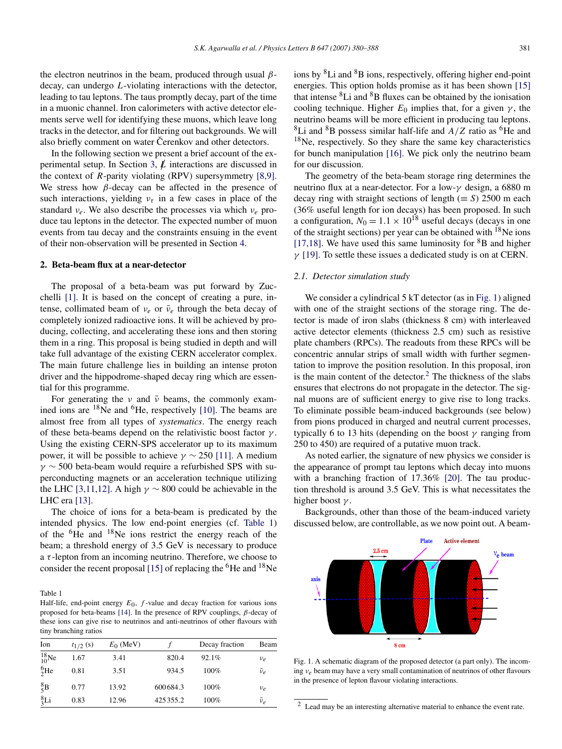<span id="page-1-0"></span>the electron neutrinos in the beam, produced through usual *β*decay, can undergo *L*-violating interactions with the detector, leading to tau leptons. The taus promptly decay, part of the time in a muonic channel. Iron calorimeters with active detector elements serve well for identifying these muons, which leave long tracks in the detector, and for filtering out backgrounds. We will also briefly comment on water Cerenkov and other detectors.

In the following section we present a brief account of the ex-perimental setup. In Section [3,](#page-3-0)  $\vec{L}$  interactions are discussed in the context of *R*-parity violating (RPV) supersymmetry [\[8,9\].](#page-8-0) We stress how *β*-decay can be affected in the presence of such interactions, yielding  $v<sub>\tau</sub>$  in a few cases in place of the standard *νe*. We also describe the processes via which *νe* produce tau leptons in the detector. The expected number of muon events from tau decay and the constraints ensuing in the event of their non-observation will be presented in Section [4.](#page-5-0)

## **2. Beta-beam flux at a near-detector**

The proposal of a beta-beam was put forward by Zucchelli [\[1\].](#page-8-0) It is based on the concept of creating a pure, intense, collimated beam of  $v_e$  or  $\bar{v}_e$  through the beta decay of completely ionized radioactive ions. It will be achieved by producing, collecting, and accelerating these ions and then storing them in a ring. This proposal is being studied in depth and will take full advantage of the existing CERN accelerator complex. The main future challenge lies in building an intense proton driver and the hippodrome-shaped decay ring which are essential for this programme.

For generating the *ν* and *ν*<sup> $ν$ </sup> beams, the commonly examined ions are  $18$ Ne and  $6$ He, respectively [\[10\].](#page-8-0) The beams are almost free from all types of *systematics*. The energy reach of these beta-beams depend on the relativistic boost factor *γ* . Using the existing CERN-SPS accelerator up to its maximum power, it will be possible to achieve  $\gamma \sim 250$  [\[11\].](#page-8-0) A medium *γ* ∼ 500 beta-beam would require a refurbished SPS with superconducting magnets or an acceleration technique utilizing the LHC [\[3,11,12\].](#page-8-0) A high  $\gamma \sim 800$  could be achievable in the LHC era [\[13\].](#page-8-0)

The choice of ions for a beta-beam is predicated by the intended physics. The low end-point energies (cf. Table 1) of the 6He and 18Ne ions restrict the energy reach of the beam; a threshold energy of 3.5 GeV is necessary to produce a *τ* -lepton from an incoming neutrino. Therefore, we choose to consider the recent proposal [\[15\]](#page-8-0) of replacing the  ${}^{6}$ He and  ${}^{18}$ Ne

Table 1

Half-life, end-point energy *E*0, *f* -value and decay fraction for various ions proposed for beta-beams [\[14\].](#page-8-0) In the presence of RPV couplings, *β*-decay of these ions can give rise to neutrinos and anti-neutrinos of other flavours with tiny branching ratios

| Ion            | $t_{1/2}$ (s) | $E_0$ (MeV) |          | Decay fraction | Beam          |
|----------------|---------------|-------------|----------|----------------|---------------|
| $^{18}_{10}Ne$ | 1.67          | 3.41        | 820.4    | 92.1%          | $\nu_e$       |
| ${}^{6}_{2}He$ | 0.81          | 3.51        | 934.5    | 100%           | $\bar{\nu}_e$ |
| ${}^{8}_{5}B$  | 0.77          | 13.92       | 600684.3 | 100%           | $\nu_e$       |
| ${}^{8}_{3}Li$ | 0.83          | 12.96       | 425355.2 | 100%           | $\bar{\nu}_e$ |

ions by  ${}^{8}Li$  and  ${}^{8}B$  ions, respectively, offering higher end-point energies. This option holds promise as it has been shown [\[15\]](#page-8-0) that intense  ${}^{8}$ Li and  ${}^{8}$ B fluxes can be obtained by the ionisation cooling technique. Higher  $E_0$  implies that, for a given  $\gamma$ , the neutrino beams will be more efficient in producing tau leptons.  ${}^{8}$ Li and  ${}^{8}$ B possess similar half-life and  $A/Z$  ratio as <sup>6</sup>He and  $18$ Ne, respectively. So they share the same key characteristics for bunch manipulation [\[16\].](#page-8-0) We pick only the neutrino beam for our discussion.

The geometry of the beta-beam storage ring determines the neutrino flux at a near-detector. For a low-*γ* design, a 6880 m decay ring with straight sections of length ( $\equiv$  *S*) 2500 m each (36% useful length for ion decays) has been proposed. In such a configuration,  $N_0 = 1.1 \times 10^{18}$  useful decays (decays in one of the straight sections) per year can be obtained with <sup>18</sup>Ne ions [\[17,18\].](#page-8-0) We have used this same luminosity for  ${}^{8}B$  and higher *γ* [\[19\].](#page-8-0) To settle these issues a dedicated study is on at CERN.

#### *2.1. Detector simulation study*

We consider a cylindrical 5 kT detector (as in Fig. 1) aligned with one of the straight sections of the storage ring. The detector is made of iron slabs (thickness 8 cm) with interleaved active detector elements (thickness 2.5 cm) such as resistive plate chambers (RPCs). The readouts from these RPCs will be concentric annular strips of small width with further segmentation to improve the position resolution. In this proposal, iron is the main content of the detector. $<sup>2</sup>$  The thickness of the slabs</sup> ensures that electrons do not propagate in the detector. The signal muons are of sufficient energy to give rise to long tracks. To eliminate possible beam-induced backgrounds (see below) from pions produced in charged and neutral current processes, typically 6 to 13 hits (depending on the boost *γ* ranging from 250 to 450) are required of a putative muon track.

As noted earlier, the signature of new physics we consider is the appearance of prompt tau leptons which decay into muons with a branching fraction of 17.36% [\[20\].](#page-8-0) The tau production threshold is around 3.5 GeV. This is what necessitates the higher boost *γ* .

Backgrounds, other than those of the beam-induced variety discussed below, are controllable, as we now point out. A beam-



Fig. 1. A schematic diagram of the proposed detector (a part only). The incoming *νe* beam may have a very small contamination of neutrinos of other flavours in the presence of lepton flavour violating interactions.

<sup>2</sup> Lead may be an interesting alternative material to enhance the event rate.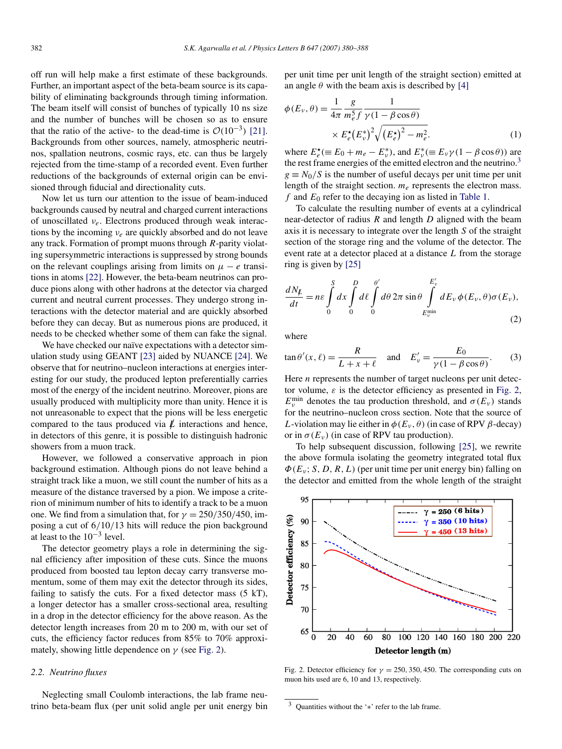<span id="page-2-0"></span>off run will help make a first estimate of these backgrounds. Further, an important aspect of the beta-beam source is its capability of eliminating backgrounds through timing information. The beam itself will consist of bunches of typically 10 ns size and the number of bunches will be chosen so as to ensure that the ratio of the active- to the dead-time is  $O(10^{-3})$  [\[21\].](#page-8-0) Backgrounds from other sources, namely, atmospheric neutrinos, spallation neutrons, cosmic rays, etc. can thus be largely rejected from the time-stamp of a recorded event. Even further reductions of the backgrounds of external origin can be envisioned through fiducial and directionality cuts.

Now let us turn our attention to the issue of beam-induced backgrounds caused by neutral and charged current interactions of unoscillated *νe*. Electrons produced through weak interactions by the incoming *νe* are quickly absorbed and do not leave any track. Formation of prompt muons through *R*-parity violating supersymmetric interactions is suppressed by strong bounds on the relevant couplings arising from limits on  $\mu - e$  transitions in atoms [\[22\].](#page-8-0) However, the beta-beam neutrinos can produce pions along with other hadrons at the detector via charged current and neutral current processes. They undergo strong interactions with the detector material and are quickly absorbed before they can decay. But as numerous pions are produced, it needs to be checked whether some of them can fake the signal.

We have checked our naïve expectations with a detector simulation study using GEANT [\[23\]](#page-8-0) aided by NUANCE [\[24\].](#page-8-0) We observe that for neutrino–nucleon interactions at energies interesting for our study, the produced lepton preferentially carries most of the energy of the incident neutrino. Moreover, pions are usually produced with multiplicity more than unity. Hence it is not unreasonable to expect that the pions will be less energetic compared to the taus produced via  $\ell$  interactions and hence, in detectors of this genre, it is possible to distinguish hadronic showers from a muon track.

However, we followed a conservative approach in pion background estimation. Although pions do not leave behind a straight track like a muon, we still count the number of hits as a measure of the distance traversed by a pion. We impose a criterion of minimum number of hits to identify a track to be a muon one. We find from a simulation that, for  $\gamma = 250/350/450$ , imposing a cut of 6*/*10*/*13 hits will reduce the pion background at least to the  $10^{-3}$  level.

The detector geometry plays a role in determining the signal efficiency after imposition of these cuts. Since the muons produced from boosted tau lepton decay carry transverse momentum, some of them may exit the detector through its sides, failing to satisfy the cuts. For a fixed detector mass (5 kT), a longer detector has a smaller cross-sectional area, resulting in a drop in the detector efficiency for the above reason. As the detector length increases from 20 m to 200 m, with our set of cuts, the efficiency factor reduces from 85% to 70% approximately, showing little dependence on  $\gamma$  (see Fig. 2).

#### *2.2. Neutrino fluxes*

Neglecting small Coulomb interactions, the lab frame neutrino beta-beam flux (per unit solid angle per unit energy bin per unit time per unit length of the straight section) emitted at an angle  $\theta$  with the beam axis is described by [\[4\]](#page-8-0)

$$
\phi(E_{\nu}, \theta) = \frac{1}{4\pi} \frac{g}{m_e^5 f} \frac{1}{\gamma (1 - \beta \cos \theta)}
$$

$$
\times E_e^{\star} (E_{\nu}^{\star})^2 \sqrt{(E_e^{\star})^2 - m_e^2}.
$$
 (1)

where  $E_e^*$  ( $\equiv E_0 + m_e - E_v^*$ ), and  $E_v^*$  ( $\equiv E_v \gamma (1 - \beta \cos \theta)$ ) are the rest frame energies of the emitted electron and the neutrino.<sup>3</sup>  $g \equiv N_0/S$  is the number of useful decays per unit time per unit length of the straight section.  $m_e$  represents the electron mass. *f* and *E*<sup>0</sup> refer to the decaying ion as listed in [Table 1.](#page-1-0)

To calculate the resulting number of events at a cylindrical near-detector of radius *R* and length *D* aligned with the beam axis it is necessary to integrate over the length *S* of the straight section of the storage ring and the volume of the detector. The event rate at a detector placed at a distance *L* from the storage ring is given by [\[25\]](#page-8-0)

$$
\frac{dN_{\not{L}}}{dt} = n\varepsilon \int\limits_{0}^{S} dx \int\limits_{0}^{D} d\ell \int\limits_{0}^{\theta'} d\theta \, 2\pi \sin \theta \int\limits_{E_{\nu}^{\min}}^{E_{\nu}'} dE_{\nu} \, \phi(E_{\nu}, \theta) \sigma(E_{\nu}),\tag{2}
$$

where

$$
\tan \theta'(x, \ell) = \frac{R}{L + x + \ell} \quad \text{and} \quad E'_v = \frac{E_0}{\gamma (1 - \beta \cos \theta)}.
$$
 (3)

Here *n* represents the number of target nucleons per unit detector volume,  $\varepsilon$  is the detector efficiency as presented in Fig. 2,  $E_v^{\text{min}}$  denotes the tau production threshold, and  $\sigma(E_v)$  stands for the neutrino–nucleon cross section. Note that the source of *L*-violation may lie either in  $\phi(E_\nu, \theta)$  (in case of RPV  $\beta$ -decay) or in  $\sigma(E_v)$  (in case of RPV tau production).

To help subsequent discussion, following [\[25\],](#page-8-0) we rewrite the above formula isolating the geometry integrated total flux *Φ(Eν* ; *S,D,R,L)* (per unit time per unit energy bin) falling on the detector and emitted from the whole length of the straight



Fig. 2. Detector efficiency for  $\gamma = 250, 350, 450$ . The corresponding cuts on muon hits used are 6, 10 and 13, respectively.

<sup>3</sup> Quantities without the '∗' refer to the lab frame.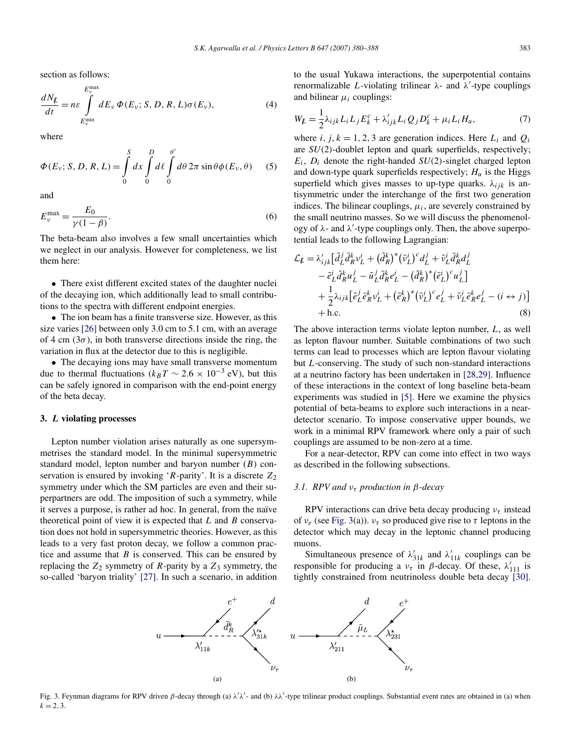<span id="page-3-0"></span>section as follows:

$$
\frac{dN_{\underline{v}}}{dt} = n\varepsilon \int_{E_{\underline{v}}^{\text{min}}}^{E_{\underline{v}}^{\text{max}}} dE_{\underline{v}} \Phi(E_{\underline{v}}; S, D, R, L) \sigma(E_{\underline{v}}), \tag{4}
$$

where

$$
\Phi(E_{\nu}; S, D, R, L) = \int_{0}^{S} dx \int_{0}^{D} d\ell \int_{0}^{\theta'} d\theta \, 2\pi \sin \theta \phi(E_{\nu}, \theta) \tag{5}
$$

and

$$
E_{\nu}^{\max} = \frac{E_0}{\gamma(1-\beta)}.
$$
\n<sup>(6)</sup>

The beta-beam also involves a few small uncertainties which we neglect in our analysis. However for completeness, we list them here:

• There exist different excited states of the daughter nuclei of the decaying ion, which additionally lead to small contributions to the spectra with different endpoint energies.

• The ion beam has a finite transverse size. However, as this size varies [\[26\]](#page-8-0) between only 3.0 cm to 5.1 cm, with an average of 4 cm  $(3\sigma)$ , in both transverse directions inside the ring, the variation in flux at the detector due to this is negligible.

• The decaying ions may have small transverse momentum due to thermal fluctuations ( $k_B T \sim 2.6 \times 10^{-3}$  eV), but this can be safely ignored in comparison with the end-point energy of the beta decay.

### **3.** *L* **violating processes**

Lepton number violation arises naturally as one supersymmetrises the standard model. In the minimal supersymmetric standard model, lepton number and baryon number (*B*) conservation is ensured by invoking '*R*-parity'. It is a discrete  $Z_2$ symmetry under which the SM particles are even and their superpartners are odd. The imposition of such a symmetry, while it serves a purpose, is rather ad hoc. In general, from the naïve theoretical point of view it is expected that *L* and *B* conservation does not hold in supersymmetric theories. However, as this leads to a very fast proton decay, we follow a common practice and assume that *B* is conserved. This can be ensured by replacing the  $Z_2$  symmetry of *R*-parity by a  $Z_3$  symmetry, the so-called 'baryon triality' [\[27\].](#page-8-0) In such a scenario, in addition to the usual Yukawa interactions, the superpotential contains renormalizable *L*-violating trilinear *λ*- and *λ* -type couplings and bilinear *μi* couplings:

$$
W_{\mathcal{L}} = \frac{1}{2} \lambda_{ijk} L_i L_j E_k^c + \lambda'_{ijk} L_i Q_j D_k^c + \mu_i L_i H_u,
$$
\n<sup>(7)</sup>

where *i*,  $j, k = 1, 2, 3$  are generation indices. Here  $L_i$  and  $Q_i$ are *SU(*2*)*-doublet lepton and quark superfields, respectively; *Ei*, *Di* denote the right-handed *SU(*2*)*-singlet charged lepton and down-type quark superfields respectively;  $H_u$  is the Higgs superfield which gives masses to up-type quarks.  $\lambda_{ijk}$  is antisymmetric under the interchange of the first two generation indices. The bilinear couplings,  $\mu_i$ , are severely constrained by the small neutrino masses. So we will discuss the phenomenology of *λ*- and *λ* -type couplings only. Then, the above superpotential leads to the following Lagrangian:

$$
\mathcal{L}_{\not{L}} = \lambda'_{ijk} \left[ \tilde{d}_{L}^{j} \bar{d}_{R}^{k} v_{L}^{i} + (\tilde{d}_{R}^{k})^{*} (\bar{v}_{L}^{i})^{c} d_{L}^{j} + \tilde{v}_{L}^{i} \bar{d}_{R}^{k} d_{L}^{j} - \tilde{e}_{L}^{i} \bar{d}_{R}^{k} u_{L}^{j} - \tilde{u}_{L}^{j} \bar{d}_{R}^{k} e_{L}^{i} - (\tilde{d}_{R}^{k})^{*} (\bar{e}_{L}^{i})^{c} u_{L}^{j} \right] + \frac{1}{2} \lambda_{ijk} \left[ \tilde{e}_{L}^{j} \bar{e}_{R}^{k} v_{L}^{i} + (\tilde{e}_{R}^{k})^{*} (\bar{v}_{L}^{i})^{c} e_{L}^{j} + \tilde{v}_{L}^{i} \bar{e}_{R}^{k} e_{L}^{j} - (i \leftrightarrow j) \right] + \text{h.c.}
$$
\n(8)

The above interaction terms violate lepton number, *L*, as well as lepton flavour number. Suitable combinations of two such terms can lead to processes which are lepton flavour violating but *L*-conserving. The study of such non-standard interactions at a neutrino factory has been undertaken in [\[28,29\].](#page-8-0) Influence of these interactions in the context of long baseline beta-beam experiments was studied in [\[5\].](#page-8-0) Here we examine the physics potential of beta-beams to explore such interactions in a neardetector scenario. To impose conservative upper bounds, we work in a minimal RPV framework where only a pair of such couplings are assumed to be non-zero at a time.

For a near-detector, RPV can come into effect in two ways as described in the following subsections.

## *3.1. RPV and ντ production in β-decay*

RPV interactions can drive beta decay producing *ντ* instead of *νe* (see Fig. 3(a)). *ντ* so produced give rise to *τ* leptons in the detector which may decay in the leptonic channel producing muons.

Simultaneous presence of  $\lambda'_{31k}$  and  $\lambda'_{11k}$  couplings can be responsible for producing a  $v_{\tau}$  in *β*-decay. Of these,  $\lambda'_{111}$  is tightly constrained from neutrinoless double beta decay [\[30\].](#page-8-0)



Fig. 3. Feynman diagrams for RPV driven *β*-decay through (a) *λ λ* - and (b) *λλ* -type trilinear product couplings. Substantial event rates are obtained in (a) when  $k = 2, 3.$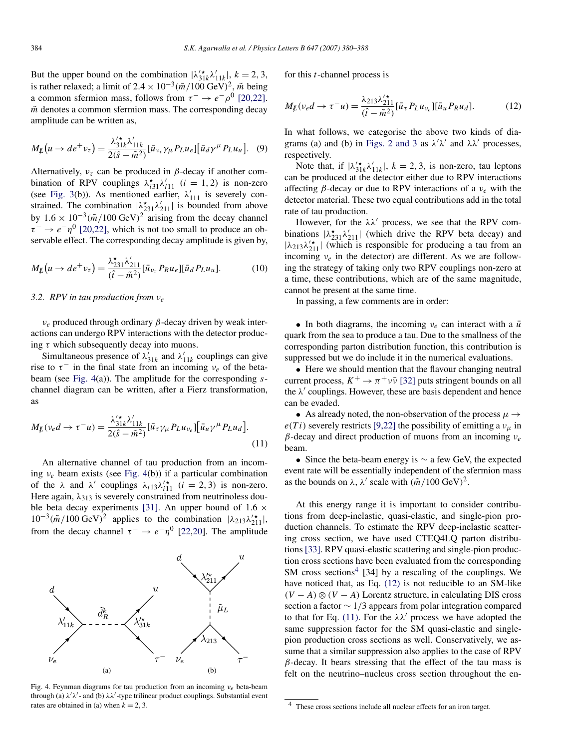But the upper bound on the combination  $|\lambda'_{31k}\lambda'_{11k}|$ ,  $k = 2, 3$ , is rather relaxed; a limit of  $2.4 \times 10^{-3} (\tilde{m}/100 \text{ GeV})^2$ ,  $\tilde{m}$  being a common sfermion mass, follows from  $\tau^- \to e^- \rho^0$  [\[20,22\].](#page-8-0)  $\tilde{m}$  denotes a common sfermion mass. The corresponding decay amplitude can be written as,

$$
M_{\not L}(u \to d e^+ v_\tau) = \frac{\lambda'^*_{31k} \lambda'_{11k}}{2(\hat{s} - \tilde{m}^2)} [\bar{u}_{v_\tau} \gamma_\mu P_L u_e] [\bar{u}_d \gamma^\mu P_L u_u]. \tag{9}
$$

Alternatively,  $v_{\tau}$  can be produced in  $\beta$ -decay if another combination of RPV couplings  $\lambda_{i31}^{\star} \lambda_{i11}^{\prime}$  (*i* = 1, 2) is non-zero (see [Fig. 3\(](#page-3-0)b)). As mentioned earlier,  $\lambda'_{111}$  is severely constrained. The combination  $|\lambda_{231}^{\star}\lambda_{211}'|$  is bounded from above by  $1.6 \times 10^{-3} (\tilde{m}/100 \text{ GeV})^2$  arising from the decay channel  $\tau^- \rightarrow e^- \eta^0$  [\[20,22\],](#page-8-0) which is not too small to produce an observable effect. The corresponding decay amplitude is given by,

$$
M_{\not{L}}(u \to de^{+} \nu_{\tau}) = \frac{\lambda_{231}^{*} \lambda_{211}^{'} }{(\hat{t} - \tilde{m}^{2})} [\bar{u}_{\nu_{\tau}} P_{R} u_{e}] [\bar{u}_{d} P_{L} u_{u}]. \tag{10}
$$

## *3.2. RPV in tau production from νe*

*νe* produced through ordinary *β*-decay driven by weak interactions can undergo RPV interactions with the detector producing *τ* which subsequently decay into muons.

Simultaneous presence of  $\lambda'_{31k}$  and  $\lambda'_{11k}$  couplings can give rise to  $\tau^-$  in the final state from an incoming  $v_e$  of the betabeam (see Fig. 4(a)). The amplitude for the corresponding *s*channel diagram can be written, after a Fierz transformation, as

$$
M_{\not{L}}(\nu_e d \to \tau^- u) = \frac{\lambda'_{31k}' \lambda'_{11k}}{2(\hat{s} - \tilde{m}^2)} [\bar{u}_{\tau} \gamma_{\mu} P_L u_{\nu_e}] [\bar{u}_u \gamma^{\mu} P_L u_d].
$$
\n(11)

An alternative channel of tau production from an incoming *νe* beam exists (see Fig. 4(b)) if a particular combination of the  $\lambda$  and  $\lambda'$  couplings  $\lambda_{i13}\lambda'^{*}_{i11}$  (*i* = 2, 3) is non-zero. Here again,  $\lambda_{313}$  is severely constrained from neutrinoless double beta decay experiments [\[31\].](#page-8-0) An upper bound of 1*.*6 ×  $10^{-3}(\tilde{m}/100 \text{ GeV})^2$  applies to the combination  $|\lambda_{213}\lambda_{211}^{\prime\star}|$ , from the decay channel  $\tau^- \to e^- \eta^0$  [\[22,20\]](#page-8-0). The amplitude



Fig. 4. Feynman diagrams for tau production from an incoming *νe* beta-beam through (a) *λ λ* - and (b) *λλ* -type trilinear product couplings. Substantial event rates are obtained in (a) when  $k = 2, 3$ .

for this *t*-channel process is

$$
M_{\not{L}}(\nu_e d \to \tau^- u) = \frac{\lambda_{213} \lambda_{211}^{\prime \star}}{(\hat{t} - \tilde{m}^2)} [\bar{u}_{\tau} P_L u_{\nu_e}] [\bar{u}_u P_R u_d]. \tag{12}
$$

In what follows, we categorise the above two kinds of dia-grams (a) and (b) in [Figs. 2 and 3](#page-2-0) as  $\lambda/\lambda'$  and  $\lambda\lambda'$  processes, respectively.

Note that, if  $|\lambda'_{31k}\lambda'_{11k}|$ ,  $k = 2, 3$ , is non-zero, tau leptons can be produced at the detector either due to RPV interactions affecting *β*-decay or due to RPV interactions of a *νe* with the detector material. These two equal contributions add in the total rate of tau production.

However, for the  $\lambda \lambda'$  process, we see that the RPV combinations  $|\lambda_{231}^{\star}\lambda_{211}^{\prime}|$  (which drive the RPV beta decay) and  $|\lambda_{213}\lambda_{211}'|$  (which is responsible for producing a tau from an incoming *νe* in the detector) are different. As we are following the strategy of taking only two RPV couplings non-zero at a time, these contributions, which are of the same magnitude, cannot be present at the same time.

In passing, a few comments are in order:

• In both diagrams, the incoming  $v_e$  can interact with a  $\bar{u}$ quark from the sea to produce a tau. Due to the smallness of the corresponding parton distribution function, this contribution is suppressed but we do include it in the numerical evaluations.

• Here we should mention that the flavour changing neutral current process,  $K^+ \rightarrow \pi^+ \nu \bar{\nu}$  [\[32\]](#page-8-0) puts stringent bounds on all the  $\lambda'$  couplings. However, these are basis dependent and hence can be evaded.

• As already noted, the non-observation of the process  $\mu \rightarrow$  $e(T i)$  severely restricts [\[9,22\]](#page-8-0) the possibility of emitting a  $v_{\mu}$  in *β*-decay and direct production of muons from an incoming *νe* beam.

• Since the beta-beam energy is  $\sim$  a few GeV, the expected event rate will be essentially independent of the sfermion mass as the bounds on  $\lambda$ ,  $\lambda'$  scale with  $(\tilde{m}/100 \text{ GeV})^2$ .

At this energy range it is important to consider contributions from deep-inelastic, quasi-elastic, and single-pion production channels. To estimate the RPV deep-inelastic scattering cross section, we have used CTEQ4LQ parton distributions [\[33\].](#page-8-0) RPV quasi-elastic scattering and single-pion production cross sections have been evaluated from the corresponding SM cross sections<sup>4</sup> [34] by a rescaling of the couplings. We have noticed that, as Eq. (12) is not reducible to an SM-like  $(V - A) \otimes (V - A)$  Lorentz structure, in calculating DIS cross section a factor ∼ 1*/*3 appears from polar integration compared to that for Eq. (11). For the  $\lambda \lambda'$  process we have adopted the same suppression factor for the SM quasi-elastic and singlepion production cross sections as well. Conservatively, we assume that a similar suppression also applies to the case of RPV  $\beta$ -decay. It bears stressing that the effect of the tau mass is felt on the neutrino–nucleus cross section throughout the en-

<sup>4</sup> These cross sections include all nuclear effects for an iron target.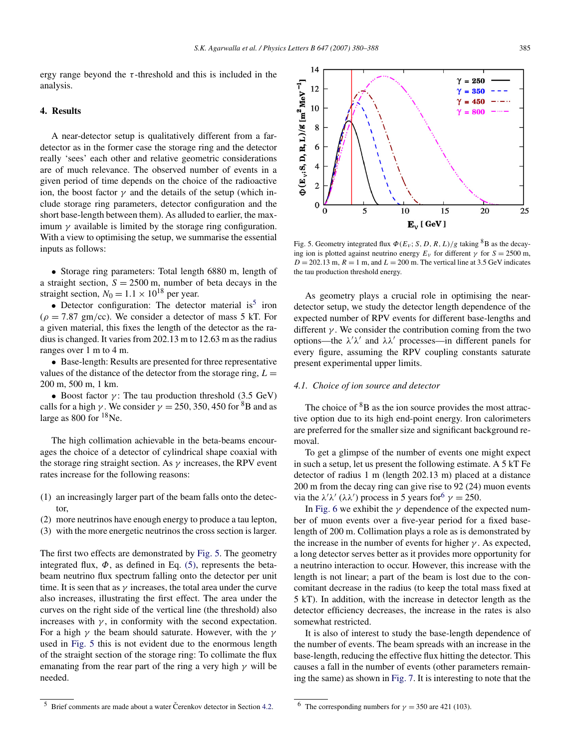<span id="page-5-0"></span>ergy range beyond the  $\tau$ -threshold and this is included in the analysis.

## **4. Results**

A near-detector setup is qualitatively different from a fardetector as in the former case the storage ring and the detector really 'sees' each other and relative geometric considerations are of much relevance. The observed number of events in a given period of time depends on the choice of the radioactive ion, the boost factor  $\gamma$  and the details of the setup (which include storage ring parameters, detector configuration and the short base-length between them). As alluded to earlier, the maximum  $\gamma$  available is limited by the storage ring configuration. With a view to optimising the setup, we summarise the essential inputs as follows:

• Storage ring parameters: Total length 6880 m, length of a straight section,  $S = 2500$  m, number of beta decays in the straight section,  $N_0 = 1.1 \times 10^{18}$  per year.

• Detector configuration: The detector material is<sup>5</sup> iron  $(\rho = 7.87 \text{ gm/cc})$ . We consider a detector of mass 5 kT. For a given material, this fixes the length of the detector as the radius is changed. It varies from 202.13 m to 12.63 m as the radius ranges over 1 m to 4 m.

• Base-length: Results are presented for three representative values of the distance of the detector from the storage ring,  $L =$ 200 m, 500 m, 1 km.

• Boost factor  $\gamma$ : The tau production threshold (3.5 GeV) calls for a high *γ*. We consider  $\gamma = 250, 350, 450$  for <sup>8</sup>B and as large as 800 for  $18$ Ne.

The high collimation achievable in the beta-beams encourages the choice of a detector of cylindrical shape coaxial with the storage ring straight section. As *γ* increases, the RPV event rates increase for the following reasons:

- (1) an increasingly larger part of the beam falls onto the detector,
- (2) more neutrinos have enough energy to produce a tau lepton,
- (3) with the more energetic neutrinos the cross section is larger.

The first two effects are demonstrated by Fig. 5. The geometry integrated flux,  $\Phi$ , as defined in Eq. [\(5\),](#page-3-0) represents the betabeam neutrino flux spectrum falling onto the detector per unit time. It is seen that as  $\gamma$  increases, the total area under the curve also increases, illustrating the first effect. The area under the curves on the right side of the vertical line (the threshold) also increases with  $\gamma$ , in conformity with the second expectation. For a high *γ* the beam should saturate. However, with the *γ* used in Fig. 5 this is not evident due to the enormous length of the straight section of the storage ring: To collimate the flux emanating from the rear part of the ring a very high *γ* will be needed.



Fig. 5. Geometry integrated flux  $\Phi(E_v; S, D, R, L)/g$  taking <sup>8</sup>B as the decaying ion is plotted against neutrino energy  $E_v$  for different  $\gamma$  for  $S = 2500$  m,  $D = 202.13$  m,  $R = 1$  m, and  $L = 200$  m. The vertical line at 3.5 GeV indicates the tau production threshold energy.

As geometry plays a crucial role in optimising the neardetector setup, we study the detector length dependence of the expected number of RPV events for different base-lengths and different *γ* . We consider the contribution coming from the two options—the  $\lambda' \lambda'$  and  $\lambda \lambda'$  processes—in different panels for every figure, assuming the RPV coupling constants saturate present experimental upper limits.

#### *4.1. Choice of ion source and detector*

The choice of  ${}^{8}B$  as the ion source provides the most attractive option due to its high end-point energy. Iron calorimeters are preferred for the smaller size and significant background removal.

To get a glimpse of the number of events one might expect in such a setup, let us present the following estimate. A 5 kT Fe detector of radius 1 m (length 202.13 m) placed at a distance 200 m from the decay ring can give rise to 92 (24) muon events via the  $\lambda' \lambda'$  ( $\lambda \lambda'$ ) process in 5 years for<sup>6</sup>  $\gamma = 250$ .

In [Fig. 6](#page-6-0) we exhibit the  $\gamma$  dependence of the expected number of muon events over a five-year period for a fixed baselength of 200 m. Collimation plays a role as is demonstrated by the increase in the number of events for higher *γ* . As expected, a long detector serves better as it provides more opportunity for a neutrino interaction to occur. However, this increase with the length is not linear; a part of the beam is lost due to the concomitant decrease in the radius (to keep the total mass fixed at 5 kT). In addition, with the increase in detector length as the detector efficiency decreases, the increase in the rates is also somewhat restricted.

It is also of interest to study the base-length dependence of the number of events. The beam spreads with an increase in the base-length, reducing the effective flux hitting the detector. This causes a fall in the number of events (other parameters remaining the same) as shown in [Fig. 7.](#page-6-0) It is interesting to note that the

 $5$  Brief comments are made about a water Čerenkov detector in Section [4.2.](#page-6-0)

<sup>&</sup>lt;sup>6</sup> The corresponding numbers for  $\gamma = 350$  are 421 (103).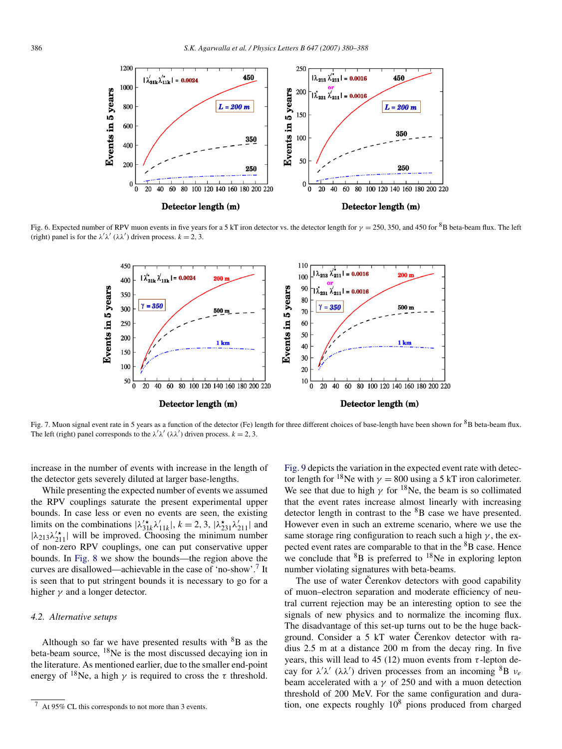<span id="page-6-0"></span>

Fig. 6. Expected number of RPV muon events in five years for a 5 kT iron detector vs. the detector length for *<sup>γ</sup>* <sup>=</sup> <sup>250</sup>*,* 350, and 450 for 8B beta-beam flux. The left (right) panel is for the  $\lambda' \lambda'$  ( $\lambda \lambda'$ ) driven process.  $k = 2, 3$ .



Fig. 7. Muon signal event rate in 5 years as a function of the detector (Fe) length for three different choices of base-length have been shown for  ${}^{8}B$  beta-beam flux. The left (right) panel corresponds to the  $\lambda' \lambda' (\lambda \lambda')$  driven process.  $k = 2, 3$ .

increase in the number of events with increase in the length of the detector gets severely diluted at larger base-lengths.

While presenting the expected number of events we assumed the RPV couplings saturate the present experimental upper bounds. In case less or even no events are seen, the existing limits on the combinations  $|\lambda'_{31k}\lambda'_{11k}|$ ,  $k = 2, 3, |\lambda^{\star}_{231}\lambda'_{211}|$  and  $|\lambda_{213}\lambda_{211}'|$  will be improved. Choosing the minimum number of non-zero RPV couplings, one can put conservative upper bounds. In [Fig. 8](#page-7-0) we show the bounds—the region above the curves are disallowed—achievable in the case of 'no-show'.7 It is seen that to put stringent bounds it is necessary to go for a higher  $\gamma$  and a longer detector.

#### *4.2. Alternative setups*

Although so far we have presented results with  ${}^{8}B$  as the beta-beam source, 18Ne is the most discussed decaying ion in the literature. As mentioned earlier, due to the smaller end-point energy of <sup>18</sup>Ne, a high  $\gamma$  is required to cross the  $\tau$  threshold. [Fig. 9](#page-7-0) depicts the variation in the expected event rate with detector length for <sup>18</sup>Ne with  $\gamma = 800$  using a 5 kT iron calorimeter. We see that due to high  $\gamma$  for <sup>18</sup>Ne, the beam is so collimated that the event rates increase almost linearly with increasing detector length in contrast to the  ${}^{8}B$  case we have presented. However even in such an extreme scenario, where we use the same storage ring configuration to reach such a high  $\gamma$ , the expected event rates are comparable to that in the <sup>8</sup>B case. Hence we conclude that  ${}^{8}B$  is preferred to  ${}^{18}Ne$  in exploring lepton number violating signatures with beta-beams.

The use of water Čerenkov detectors with good capability of muon–electron separation and moderate efficiency of neutral current rejection may be an interesting option to see the signals of new physics and to normalize the incoming flux. The disadvantage of this set-up turns out to be the huge background. Consider a 5 kT water Čerenkov detector with radius 2.5 m at a distance 200 m from the decay ring. In five years, this will lead to 45 (12) muon events from  $\tau$ -lepton decay for *λ λ* (*λλ* ) driven processes from an incoming 8B *νe* beam accelerated with a  $\gamma$  of 250 and with a muon detection threshold of 200 MeV. For the same configuration and duration, one expects roughly  $10<sup>8</sup>$  pions produced from charged

<sup>7</sup> At 95% CL this corresponds to not more than 3 events.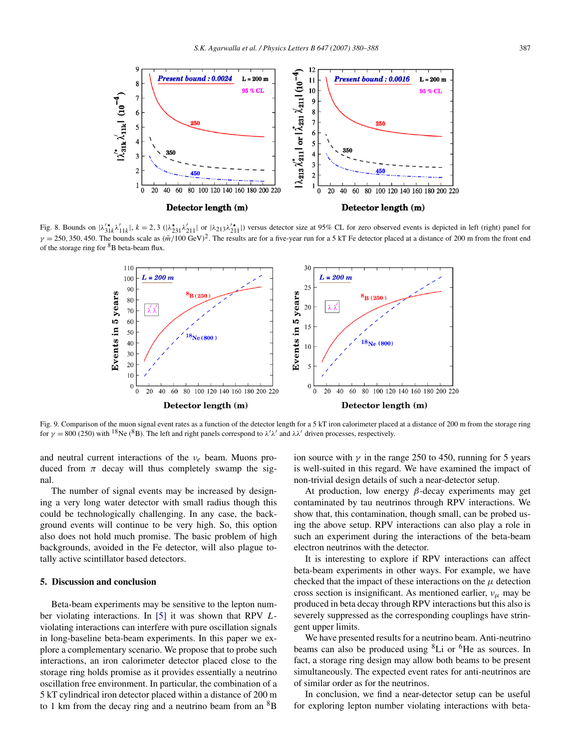<span id="page-7-0"></span>

Fig. 8. Bounds on  $|\lambda'_{31k}\lambda'_{11k}|$ ,  $k = 2, 3$  ( $|\lambda^*_{231}\lambda'_{211}|$  or  $|\lambda_{213}\lambda'^*_{211}|$ ) versus detector size at 95% CL for zero observed events is depicted in left (right) panel for  $\gamma = 250, 350, 450$ . The bounds scale as  $(\tilde{m}/100 \text{ GeV})^2$ . The results are for a five-year run for a 5 kT Fe detector placed at a distance of 200 m from the front end of the storage ring for  ${}^{8}B$  beta-beam flux.



Fig. 9. Comparison of the muon signal event rates as a function of the detector length for a 5 kT iron calorimeter placed at a distance of 200 m from the storage ring for  $\gamma = 800$  (250) with <sup>18</sup>Ne (<sup>8</sup>B). The left and right panels correspond to  $\lambda' \lambda'$  and  $\lambda \lambda'$  driven processes, respectively.

and neutral current interactions of the *νe* beam. Muons produced from  $\pi$  decay will thus completely swamp the signal.

The number of signal events may be increased by designing a very long water detector with small radius though this could be technologically challenging. In any case, the background events will continue to be very high. So, this option also does not hold much promise. The basic problem of high backgrounds, avoided in the Fe detector, will also plague totally active scintillator based detectors.

# **5. Discussion and conclusion**

Beta-beam experiments may be sensitive to the lepton number violating interactions. In [\[5\]](#page-8-0) it was shown that RPV *L*violating interactions can interfere with pure oscillation signals in long-baseline beta-beam experiments. In this paper we explore a complementary scenario. We propose that to probe such interactions, an iron calorimeter detector placed close to the storage ring holds promise as it provides essentially a neutrino oscillation free environment. In particular, the combination of a 5 kT cylindrical iron detector placed within a distance of 200 m to 1 km from the decay ring and a neutrino beam from an  ${}^{8}B$  ion source with  $\gamma$  in the range 250 to 450, running for 5 years is well-suited in this regard. We have examined the impact of non-trivial design details of such a near-detector setup.

At production, low energy *β*-decay experiments may get contaminated by tau neutrinos through RPV interactions. We show that, this contamination, though small, can be probed using the above setup. RPV interactions can also play a role in such an experiment during the interactions of the beta-beam electron neutrinos with the detector.

It is interesting to explore if RPV interactions can affect beta-beam experiments in other ways. For example, we have checked that the impact of these interactions on the  $\mu$  detection cross section is insignificant. As mentioned earlier, *νμ* may be produced in beta decay through RPV interactions but this also is severely suppressed as the corresponding couplings have stringent upper limits.

We have presented results for a neutrino beam. Anti-neutrino beams can also be produced using  ${}^{8}$ Li or  ${}^{6}$ He as sources. In fact, a storage ring design may allow both beams to be present simultaneously. The expected event rates for anti-neutrinos are of similar order as for the neutrinos.

In conclusion, we find a near-detector setup can be useful for exploring lepton number violating interactions with beta